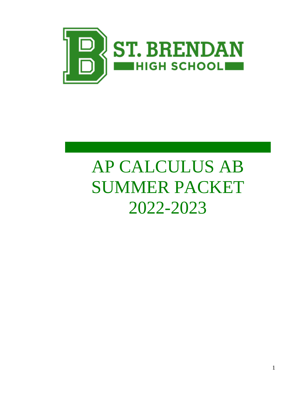

# AP CALCULUS AB SUMMER PACKET 2022-2023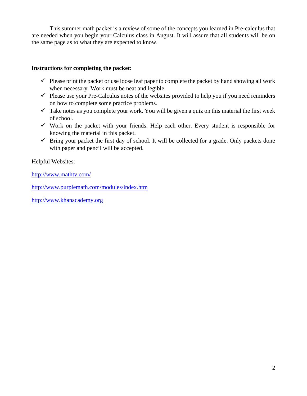This summer math packet is a review of some of the concepts you learned in Pre-calculus that are needed when you begin your Calculus class in August. It will assure that all students will be on the same page as to what they are expected to know.

#### **Instructions for completing the packet:**

- $\checkmark$  Please print the packet or use loose leaf paper to complete the packet by hand showing all work when necessary. Work must be neat and legible.
- $\checkmark$  Please use your Pre-Calculus notes of the websites provided to help you if you need reminders on how to complete some practice problems.
- $\checkmark$  Take notes as you complete your work. You will be given a quiz on this material the first week of school.
- $\checkmark$  Work on the packet with your friends. Help each other. Every student is responsible for knowing the material in this packet.
- $\checkmark$  Bring your packet the first day of school. It will be collected for a grade. Only packets done with paper and pencil will be accepted.

Helpful Websites:

<http://www.mathtv.com/>

<http://www.purplemath.com/modules/index.htm>

[http://www.khanacademy.org](http://www.khanacademy.org/)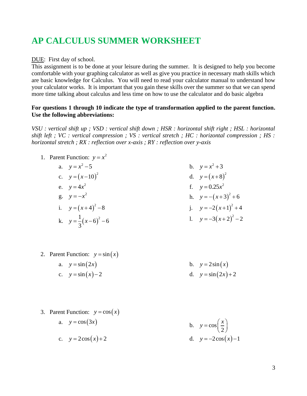## **AP CALCULUS SUMMER WORKSHEET**

#### DUE: First day of school.

This assignment is to be done at your leisure during the summer. It is designed to help you become comfortable with your graphing calculator as well as give you practice in necessary math skills which are basic knowledge for Calculus. You will need to read your calculator manual to understand how your calculator works. It is important that you gain these skills over the summer so that we can spend more time talking about calculus and less time on how to use the calculator and do basic algebra

#### **For questions 1 through 10 indicate the type of transformation applied to the parent function. Use the following abbreviations:**

*VSU : vertical shift up ; VSD : vertical shift down ; HSR : horizontal shift right ; HSL : horizontal shift left ; VC : vertical compression ; VS : vertical stretch ; HC : horizontal compression ; HS : horizontal stretch ; RX : reflection over x-axis ; RY : reflection over y-axis* 

- 1. Parent Function:  $y = x^2$ a.  $y = x^2 - 5$ b.  $y = x^2 + 3$ c.  $y = (x-10)^2$ d.  $y = (x+8)^2$ e.  $y = 4x^2$ f.  $y = 0.25x^2$ g.  $y = -x^2$ h.  $y = -(x+3)^2 + 6$ i.  $y = (x+4)^2 - 8$ j.  $y = -2(x+1)^2 + 4$ k.  $y = \frac{1}{2}(x-6)$  $\frac{1}{2}(x-6)^2-6$ 3  $y = \frac{1}{2}(x-6)^2 - 6$ 1.  $y = -3(x+2)^2 - 2$
- 2. Parent Function:  $y = sin(x)$ 
	- a.  $y = sin(2x)$ b.  $y = 2\sin(x)$
	- c.  $y = \sin(x) 2$ d.  $y = \sin(2x) + 2$
- 3. Parent Function:  $y = cos(x)$ a.  $y = cos(3x)$ b.  $y = cos$ 2  $y = cos\left(\frac{x}{2}\right)$ c.  $y = 2\cos(x) + 2$ d.  $y = -2\cos(x) - 1$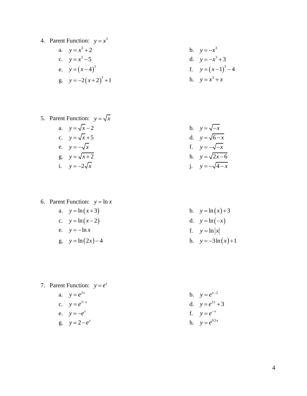- 4. Parent Function:  $y = x^3$ 
	- a.  $y = x^3 + 2$ **b**.  $y = -x^3$ c.  $y = x^3 - 5$ d.  $y = -x^3 + 3$ e.  $y = (x-4)^3$ f.  $y = (x-1)^3 - 4$ g.  $y = -2(x+2)^3 + 1$ h.  $y = x^3 + x$
- 5. Parent Function:  $y = \sqrt{x}$ a.  $y = \sqrt{x-2}$ b.  $y = \sqrt{-x}$ c.  $y = \sqrt{x+5}$ d.  $y = \sqrt{6-x}$ e.  $y = -\sqrt{x}$ f.  $y = -\sqrt{-x}$ g.  $y = \sqrt{x+2}$ h.  $y = \sqrt{2x-6}$ i.  $y = -2\sqrt{x}$ *j*. *y* = −√4 − *x*

6. Parent Function:  $y = \ln x$ a.  $y = \ln(x+3)$ 

- c.  $y = \ln(x-2)$ d.  $y = \ln(-x)$ ) e.  $y = -\ln x$ f.  $y = \ln |x|$  $g. \quad y = \ln(2x) - 4$
- 
- 7. Parent Function:  $y = e^x$

a. 
$$
y = e^{2x}
$$
  
\nc.  $y = e^{2-x}$   
\ne.  $y = -e^{x}$   
\ng.  $y = 2 - e^{x}$ 

b. 
$$
y = \ln(x) + 3
$$
  
d.  $y = \ln(-x)$   
f.  $y = \ln|x|$   
h.  $y = -3\ln(x) + 1$ 

b. 
$$
y = e^{x-2}
$$
  
d.  $y = e^{2x} + 3$   
f.  $y = e^{-x}$   
h.  $y = e^{0.5x}$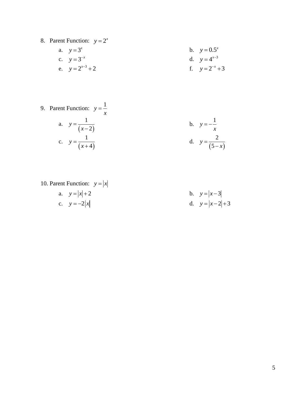8. Parent Function:  $y = 2^x$ 

a. 
$$
y=3^x
$$
  
\nb.  $y=0.5^x$   
\nc.  $y=3^{-x}$   
\nd.  $y=4^{x-3}$   
\nf.  $y=2^{-x}+3$ 

9. Parent Function: 
$$
y = \frac{1}{x}
$$
  
\na.  $y = \frac{1}{(x-2)}$   
\nb.  $y = -\frac{1}{x}$   
\nc.  $y = \frac{1}{(x+4)}$   
\nd.  $y = \frac{2}{(5-x)}$ 

10. Parent Function: 
$$
y = |x|
$$
  
a.  $y = |x| + 2$   
b.  $y = |x-3|$   
c.  $y = -2|x|$   
d.  $y = |x-2|+3$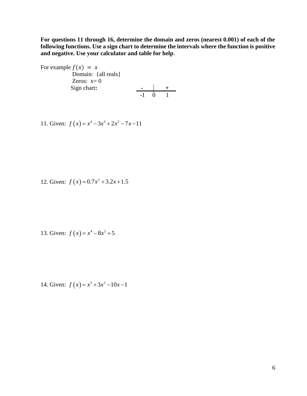**For questions 11 through 16, determine the domain and zeros (nearest 0.001) of each of the following functions. Use a sign chart to determine the intervals where the function is positive and negative. Use your calculator and table for help**.

For example  $f(x) = x$ Domain: {all reals} Zeros:  $x=0$  Sign chart**: - +** -1 0 1

11. Given: 
$$
f(x) = x^4 - 3x^3 + 2x^2 - 7x - 11
$$

12. Given:  $f(x) = 0.7x^2 + 3.2x + 1.5$ 

13. Given: 
$$
f(x) = x^4 - 8x^2 + 5
$$

14. Given:  $f(x) = x^3 + 3x^2 - 10x - 1$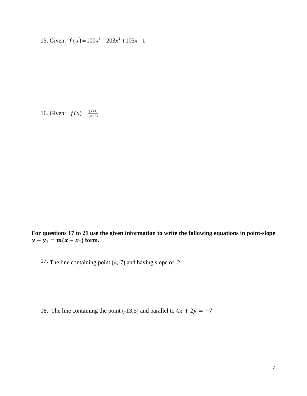15. Given:  $f(x) = 100x^3 - 203x^2 + 103x - 1$ 

16. Given:  $f(x) = \frac{(x+1)}{(x+2)}$  $(x) = \frac{(x+1)}{(x+2)}$  $=\frac{(x+1)(x+1)}{(x+1)(x+1)}$  $f(x) = \frac{x}{x}$ 

**For questions 17 to 21 use the given information to write the following equations in point-slope**   $y - y_1 = m(x - x_1)$  form.

17. The line containing point (4,-7) and having slope of 2.

18. The line containing the point (-13,5) and parallel to  $4x + 2y = -7$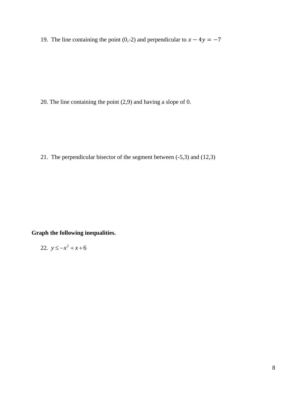19. The line containing the point (0,-2) and perpendicular to  $x - 4y = -7$ 

20. The line containing the point (2,9) and having a slope of 0.

21. The perpendicular bisector of the segment between (-5,3) and (12,3)

**Graph the following inequalities.**

22. 
$$
y \le -x^2 + x + 6
$$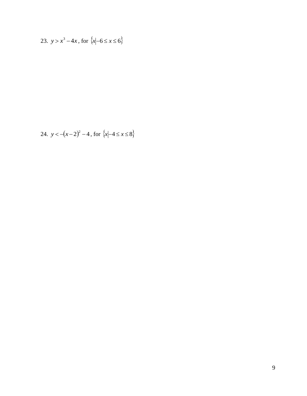23. 
$$
y > x^3 - 4x
$$
, for  $\{x \mid -6 \le x \le 6\}$ 

24. 
$$
y < -(x-2)^2 - 4
$$
, for  $\{x \mid -4 \le x \le 8\}$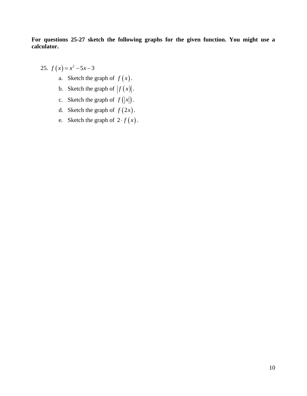**For questions 25-27 sketch the following graphs for the given function. You might use a calculator.**

- 25.  $f(x)=x^2-5x-3$ 
	- a. Sketch the graph of  $f(x)$ .
	- b. Sketch the graph of  $|f(x)|$ .
	- c. Sketch the graph of  $f(|x|)$ .
	- d. Sketch the graph of  $f(2x)$ .
	- e. Sketch the graph of  $2 \cdot f(x)$ .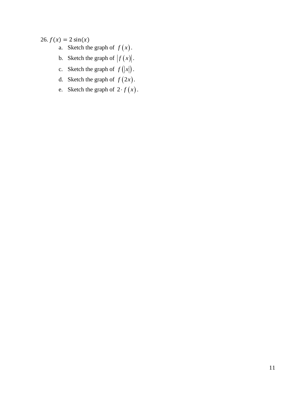### 26.  $f(x) = 2 \sin(x)$

- a. Sketch the graph of  $f(x)$ .
- b. Sketch the graph of  $|f(x)|$ .
- c. Sketch the graph of  $f(|x|)$ .
- d. Sketch the graph of  $f(2x)$ .
- e. Sketch the graph of  $2 \cdot f(x)$ .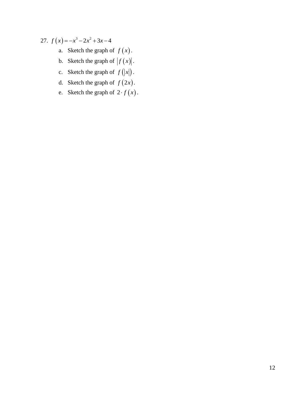## 27.  $f(x) = -x^3 - 2x^2 + 3x - 4$

- a. Sketch the graph of  $f(x)$ .
- b. Sketch the graph of  $|f(x)|$ .
- c. Sketch the graph of  $f(|x|)$ .
- d. Sketch the graph of  $f(2x)$ .
- e. Sketch the graph of  $2 \cdot f(x)$ .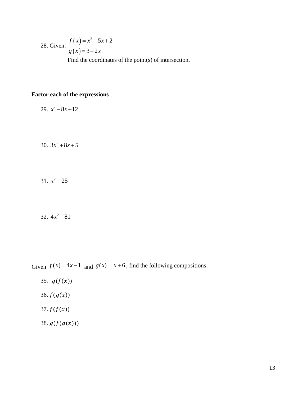28. Given: 
$$
f(x) = x^2 - 5x + 2
$$
  
  $g(x) = 3 - 2x$   
Find the coordinates of the point(s) of intersection.

#### **Factor each of the expressions**

29.  $x^2 - 8x + 12$ 

30.  $3x^2 + 8x + 5$ 

31.  $x^2 - 25$ 

32.  $4x^2 - 81$ 

Given  $f(x) = 4x - 1$  and  $g(x) = x + 6$ , find the following compositions:

- 35.  $g(f(x))$
- 36.  $f(g(x))$
- 37.  $f(f(x))$
- 38.  $g(f(g(x)))$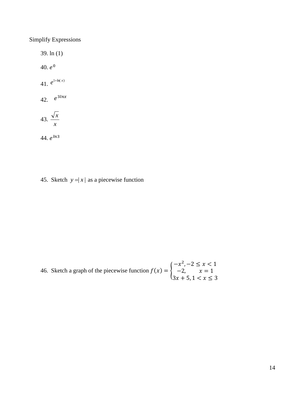Simplify Expressions

39. ln (1)  $40. e^{0}$ 41.  $e^{1+\ln(x)}$ 42.  $e^{3\ln x}$ 43. *x x* 44. e<sup>ln3</sup>

45. Sketch  $y = |x|$  as a piecewise function

46. Sketch a graph of the piecewise function  $f(x) = \{$  $-x^2$ ,  $-2 \le x < 1$  $-2$ ,  $x = 1$  $3x + 5$ ,  $1 < x \leq 3$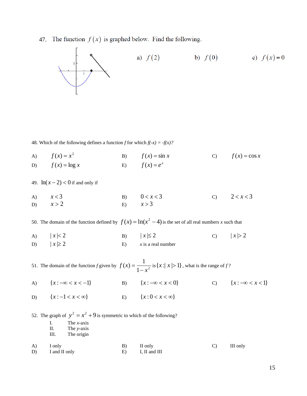47. The function  $f(x)$  is graphed below. Find the following.



48. Which of the following defines a function *f* for which  $f(-x) = -f(x)$ ?

A)  $f(x) = x^2$ B)  $f(x) = \sin x$ C)  $f(x) = \cos x$ D)  $f(x) = \log x$ E)  $f(x) = e^x$ 

49.  $\ln(x-2) < 0$  if and only if

A)  $x < 3$ B)  $0 < x < 3$ C)  $2 < x < 3$ D)  $x > 2$ E)  $x > 3$ 

50. The domain of the function defined by  $f(x) = \ln(x^2 - 4)$  is the set of all real numbers *x* such that

A)  $|x| < 2$ B)  $|x| \leq 2$ C)  $|x| > 2$ D)  $|x| \geq 2$ E)  $x$  is a real number

51. The domain of the function *f* given by  $f(x) = \frac{1}{1-x^2}$  $(x) = \frac{1}{1}$ *x f x* −  $=\frac{1}{\sqrt{2}}$  is  $\{x : |x| > 1\}$ , what is the range of f?

- A)  ${x : -\infty < x < -1}$ B)  ${x : -∞ < x < 0}$ C)  ${x: −∞ < x < 1}$
- D)  ${x : -1 < x < \infty}$ E)  ${x : 0 < x < \infty}$

52. The graph of  $y^2 = x^2 + 9$  is symmetric to which of the following?

- I. The *x*-axis
- II. The *y-*axis
- III. The origin
- A) I only B) II only C) III only D) I and II only E) I, II and III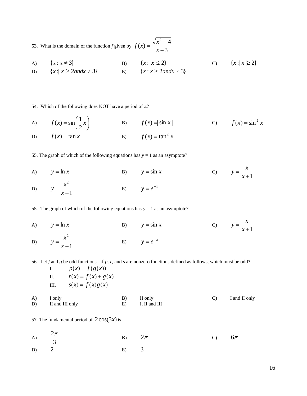53. What is the domain of the function *f* given by  $f(x) = \frac{x-3}{x-3}$  $f(x) = \frac{\sqrt{x^2 - 4}}{2}$ 2 −  $=\frac{\sqrt{x^2-1}}{x}$ *x*  $f(x) = \frac{\sqrt{x}}{x}$ 

A)  ${x : x \neq 3}$ B)  ${x : | x | \le 2}$ C)  ${x : | x \geq 2}$ D)  ${x : | x \geq 2}$ *andx*  $\neq 3$ E)  $\{x : x \geq 2 \text{ and } x \neq 3\}$ 

54. Which of the following does NOT have a period of  $\pi$ ?

A) 
$$
f(x) = \sin\left(\frac{1}{2}x\right)
$$
  
\nB)  $f(x) = \sin x$   
\nC)  $f(x) = \sin^2 x$   
\nD)  $f(x) = \tan x$   
\nE)  $f(x) = \tan^2 x$ 

55. The graph of which of the following equations has  $y = 1$  as an asymptote?

A)  $y = \ln x$ B)  $y = \sin x$ C)  $y = \frac{1}{x+1}$ = *x*  $y = \frac{x}{x}$ D) 1 2 − = *x*  $y = \frac{x}{x}$ E)  $y = e^{-x}$ 

55. The graph of which of the following equations has  $y = 1$  as an asymptote?

A)  $y = \ln x$ B)  $y = \sin x$ C)  $y = \frac{1}{x+1}$ = *x*  $y = \frac{x}{x}$ D) 1 2 − = *x*  $y = \frac{x}{x}$ E)  $y = e^{-x}$ 

56. Let *f* and *g* be odd functions. If *p*, *r,* and *s* are nonzero functions defined as follows, which must be odd?

|          | I.                        | $p(x) = f(g(x))$       |          |                          |               |               |
|----------|---------------------------|------------------------|----------|--------------------------|---------------|---------------|
|          | П.                        | $r(x) = f(x) + g(x)$   |          |                          |               |               |
|          |                           | III. $s(x) = f(x)g(x)$ |          |                          |               |               |
| A)<br>D) | I only<br>II and III only |                        | B)<br>E) | II only<br>I, II and III | $\mathcal{C}$ | I and II only |
|          |                           |                        |          |                          |               |               |

57. The fundamental period of  $2\cos(3x)$  is

| A) $\frac{2\pi}{3}$ | B) $2\pi$ | C) $6\pi$ |  |
|---------------------|-----------|-----------|--|
| $D)$ 2<br>$E)$ 3    |           |           |  |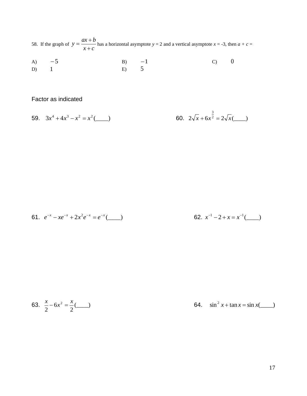58. If the graph of  $y = \frac{3x+2}{x+c}$  $y = \frac{ax + b}{b}$ +  $=\frac{ax+b}{x}$  has a horizontal asymptote  $y = 2$  and a vertical asymptote  $x = -3$ , then  $a + c =$ 

A) 
$$
-5
$$
 B)  $-1$  C) 0  
D) 1 E) 5

Factor as indicated

59. 
$$
3x^4 + 4x^3 - x^2 = x^2(\underline{\hspace{1cm}})
$$
 60.  $2\sqrt{x} + 6x^{\frac{3}{2}} = 2\sqrt{x}(\underline{\hspace{1cm}})$ 

61. 
$$
e^{-x} - xe^{-x} + 2x^2e^{-x} = e^{-x}(\underline{\hspace{2cm}})
$$

62. 
$$
x^{-1} - 2 + x = x^{-1}(\underline{\hspace{2cm}})
$$

63. 
$$
\frac{x}{2} - 6x^2 = \frac{x}{2} (\underline{\hspace{1cm}})
$$
 64.  $\sin^2 x + \tan x = \sin x (\underline{\hspace{1cm}})$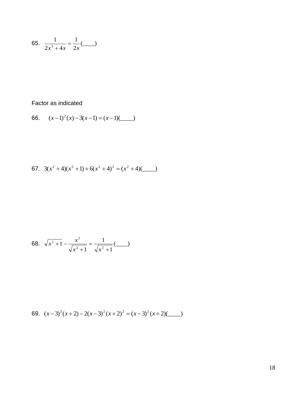65. 
$$
\frac{1}{2x^3 + 4x} = \frac{1}{2x} (\underline{\hspace{1cm}})
$$

Factor as indicated

66. 
$$
(x-1)^2(x) - 3(x-1) = (x-1)(\underline{\hspace{2cm}})
$$

67. 
$$
3(x^2+4)(x^2+1)+6(x^2+4)^2 = (x^2+4)(
$$

68. 
$$
\sqrt{x^2 + 1} - \frac{x^2}{\sqrt{x^2 + 1}} = \frac{1}{\sqrt{x^2 + 1}} (\underline{\hspace{1cm}})
$$

69. 
$$
(x-3)^3(x+2)-2(x-3)^2(x+2)^2=(x-3)^2(x+2)(\underline{\hspace{1cm}}
$$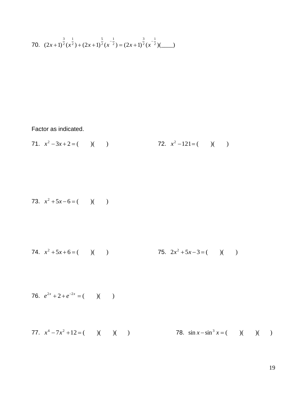70. 
$$
(2x+1)^{\frac{3}{2}}(x^{\frac{1}{2}})+(2x+1)^{\frac{5}{2}}(x^{-\frac{1}{2}})=(2x+1)^{\frac{3}{2}}(x^{-\frac{1}{2}})(\underline{\hspace{1cm}})
$$

Factor as indicated.

71. 
$$
x^2-3x+2=
$$
 ( ) ( ) 72.  $x^2-121=$  ( ) ( )

73. 
$$
x^2 + 5x - 6 = (x - 1)(y - 1)
$$

74. 
$$
x^2 + 5x + 6 = (x^2 + 5x - 3) = (x^2 + 5x - 3) = (x^2 + 5x - 3) = (x^2 + 5x - 3) = (x^2 + 5x - 3) = (x^2 + 5x - 3) = (x^2 + 5x - 3) = (x^2 + 5x - 3) = (x^2 + 5x - 3) = (x^2 + 5x - 3) = (x^2 + 5x - 3) = (x^2 + 5x - 3) = (x^2 + 5x - 3) = (x^2 + 5x - 3) = (x^2 + 5x - 3) = (x^2 + 5x - 3) = (x^2 + 5x - 3) = (x^2 + 5x - 3) = (x^2 + 5x - 3) = (x^2 + 5x - 3) = (x^2 + 5x - 3) = (x^2 + 5x - 3) = (x^2 + 5x - 3) = (x^2 + 5x - 3) = (x^2 + 5x - 3) = (x^2 + 5x - 3) = (x^2 + 5x - 3) = (x^2 + 5x - 3) = (x^2 + 5x - 3) = (x^2 + 5x - 3) = (x^2 + 5x - 3) = (x^2 + 5x - 3) = (x^2 + 5x - 3) = (x^2 + 5x - 3) = (x^2 + 5x - 3) = (x^2 + 5x - 3) = (x^2 + 5x - 3) = (x^2 + 5x - 3) = (x^2 + 5x - 3) = (x^2 + 5x - 3) = (x^2 + 5x - 3) = (x^2 + 5x - 3) = (x^2 + 5x - 3) = (x^2 + 5x - 3) = (x^2 + 5x - 3) = (x^2 + 5x - 3) = (x^2 + 5x - 3) = (x^2 + 5x - 3) = (x^2 + 5x - 3) = (x^2 + 5x - 3) = (x^2 + 5x - 3) = (x^2 + 5x - 3) = (x^2 + 5x - 3) = (x^2 + 5x - 3) = (x^2 + 5x - 3) = (x^2 + 5x - 3) = (x^2 + 5x - 3) = (x^2 + 5x
$$

76. 
$$
e^{2x} + 2 + e^{-2x} = (x - 1)(x - 1)
$$

77. 
$$
x^4 - 7x^2 + 12 = (x^2 - 1)(x - 1)
$$
 78.  $\sin x - \sin^3 x = (x^2 - 1)(x - 1)(x - 1)$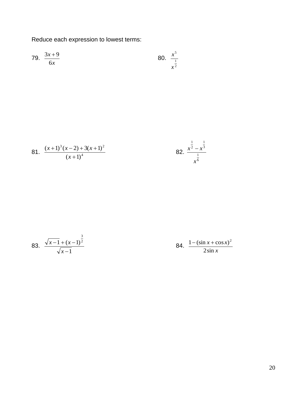Reduce each expression to lowest terms:

79. 
$$
\frac{3x+9}{6x}
$$
 80.  $\frac{x^5}{x^{\frac{1}{2}}}$ 

81. 
$$
\frac{(x+1)^3(x-2)+3(x+1)^2}{(x+1)^4}
$$

82. 
$$
\frac{x^{\frac{1}{2}} - x^{\frac{1}{3}}}{x^{\frac{1}{6}}}
$$

83. 
$$
\frac{\sqrt{x-1} + (x-1)^{\frac{3}{2}}}{\sqrt{x-1}}
$$

84. *x*  $x + \cos x$ 2sin  $1 - (\sin x + \cos x)^2$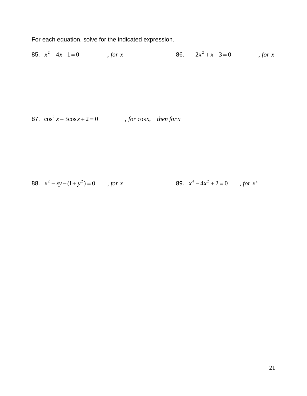For each equation, solve for the indicated expression.

85.  $x^2 - 4x - 1 = 0$ , *for x* 86.  $2x^2 + x - 3 = 0$ , *for x* 

87.  $\cos^2 x + 3\cos x + 2 = 0$ , *for*  $\cos x$ , *then for x* 

88. 
$$
x^2 - xy - (1 + y^2) = 0
$$
, for x  
89.  $x^4 - 4x^2 + 2 = 0$ , for  $x^2$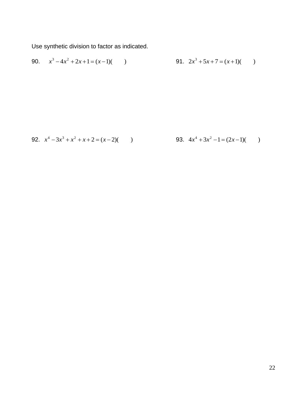Use synthetic division to factor as indicated.

90. 
$$
x^3 - 4x^2 + 2x + 1 = (x - 1)(
$$
 91.  $2x^3 + 5x + 7 = (x + 1)($  92.

92. 
$$
x^4 - 3x^3 + x^2 + x + 2 = (x - 2)(
$$
 93.  $4x^4 + 3x^2 - 1 = (2x - 1)($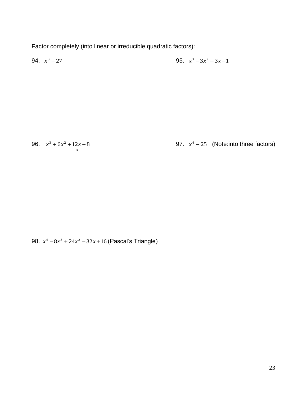Factor completely (into linear or irreducible quadratic factors):

94.  $x^3 - 27$  $x^3 - 27$  95.  $x^3 - 3x^2 + 3x - 1$ 

96.  $x^3 + 6x^2 + 12x + 8$ 

\*

97.  $x^4 - 25$  (Note:into three factors)

98. *x*<sup>4</sup> −8*x*<sup>3</sup> + 24*x*<sup>2</sup> − 32*x* + 16 (Pascal's Triangle)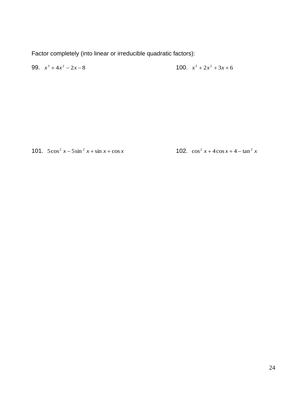Factor completely (into linear or irreducible quadratic factors):

99. 
$$
x^3 + 4x^2 - 2x - 8
$$
 100.  $x^3 + 2x^2 + 3x + 6$ 

101.  $5\cos^2 x - 5\sin^2 x + \sin x + \cos x$ 

102.  $\cos^2 x + 4\cos x + 4 - \tan^2 x$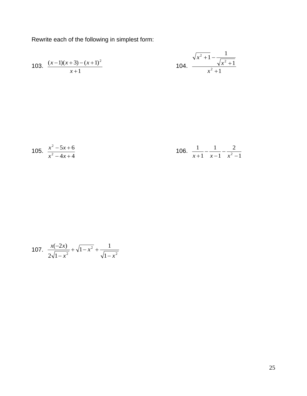Rewrite each of the following in simplest form:

103. 
$$
\frac{(x-1)(x+3)-(x+1)^2}{x+1}
$$
 104. 
$$
\frac{\sqrt{x^2+1}-\frac{1}{\sqrt{x^2+1}}}{x^2+1}
$$

105. 
$$
\frac{x^2 - 5x + 6}{x^2 - 4x + 4}
$$
 106. 
$$
\frac{1}{x + 1} - \frac{1}{x - 1} - \frac{2}{x^2 - 1}
$$

107. 
$$
\frac{x(-2x)}{2\sqrt{1-x^2}} + \sqrt{1-x^2} + \frac{1}{\sqrt{1-x^2}}
$$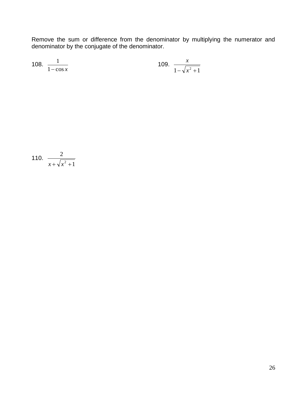Remove the sum or difference from the denominator by multiplying the numerator and denominator by the conjugate of the denominator.

108. 
$$
\frac{1}{1-\cos x}
$$
 109.  $\frac{x}{1-\sqrt{x^2+1}}$ 

110. 
$$
\frac{2}{x + \sqrt{x^2 + 1}}
$$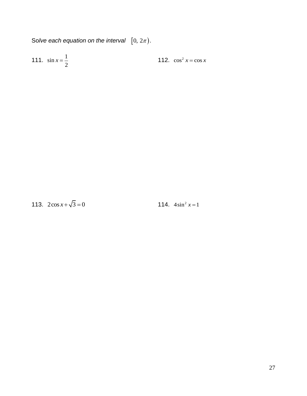Solve each equation on the interval  $[0, 2\pi)$ .

111.  $\sin x = \frac{1}{2}$ 112.  $\cos^2 x = \cos x$ 

113.  $2\cos x + \sqrt{3} = 0$ 

114.  $4\sin^2 x = 1$